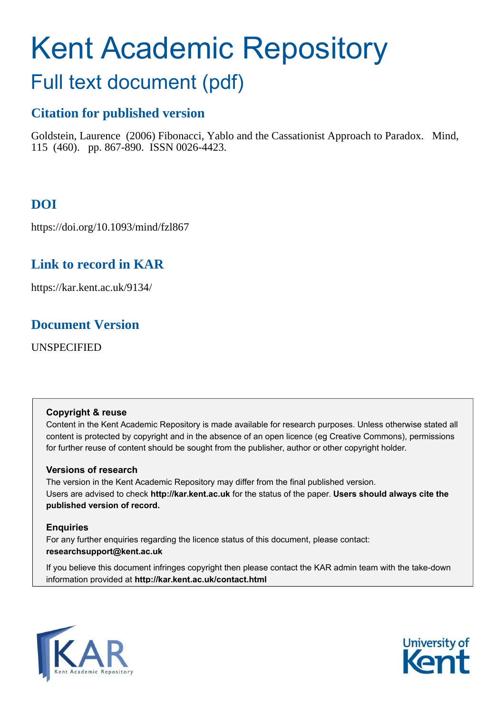# Kent Academic Repository

## Full text document (pdf)

## **Citation for published version**

Goldstein, Laurence (2006) Fibonacci, Yablo and the Cassationist Approach to Paradox. Mind, 115 (460). pp. 867-890. ISSN 0026-4423.

## **DOI**

https://doi.org/10.1093/mind/fzl867

## **Link to record in KAR**

https://kar.kent.ac.uk/9134/

### **Document Version**

UNSPECIFIED

#### **Copyright & reuse**

Content in the Kent Academic Repository is made available for research purposes. Unless otherwise stated all content is protected by copyright and in the absence of an open licence (eg Creative Commons), permissions for further reuse of content should be sought from the publisher, author or other copyright holder.

#### **Versions of research**

The version in the Kent Academic Repository may differ from the final published version. Users are advised to check **http://kar.kent.ac.uk** for the status of the paper. **Users should always cite the published version of record.**

#### **Enquiries**

For any further enquiries regarding the licence status of this document, please contact: **researchsupport@kent.ac.uk**

If you believe this document infringes copyright then please contact the KAR admin team with the take-down information provided at **http://kar.kent.ac.uk/contact.html**



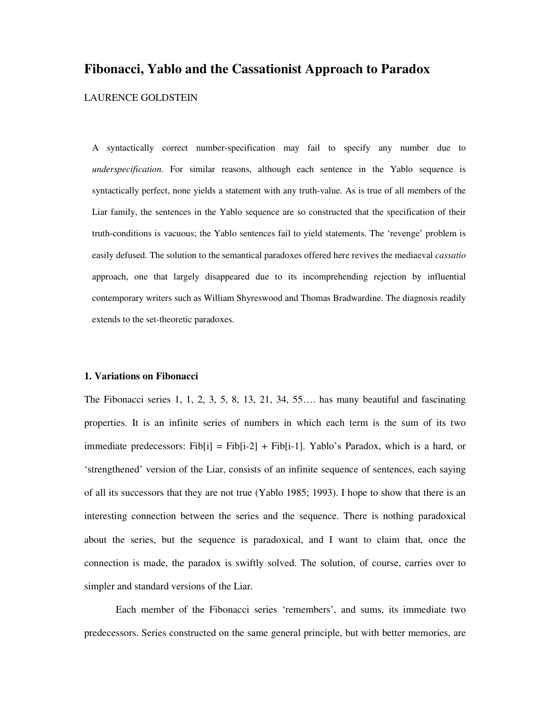#### **Fibonacci, Yablo and the Cassationist Approach to Paradox**

#### LAURENCE GOLDSTEIN

A syntactically correct number-specification may fail to specify any number due to *underspecification.* For similar reasons, although each sentence in the Yablo sequence is syntactically perfect, none yields a statement with any truth-value. As is true of all members of the Liar family, the sentences in the Yablo sequence are so constructed that the specification of their truth-conditions is vacuous; the Yablo sentences fail to yield statements. The 'revenge' problem is easily defused. The solution to the semantical paradoxes offered here revives the mediaeval *cassatio*  approach, one that largely disappeared due to its incomprehending rejection by influential contemporary writers such as William Shyreswood and Thomas Bradwardine. The diagnosis readily extends to the set-theoretic paradoxes.

#### **1. Variations on Fibonacci**

The Fibonacci series 1, 1, 2, 3, 5, 8, 13, 21, 34, 55…. has many beautiful and fascinating properties. It is an infinite series of numbers in which each term is the sum of its two immediate predecessors:  $Fib[i] = Fib[i-2] + Fib[i-1]$ . Yablo's Paradox, which is a hard, or 'strengthened' version of the Liar, consists of an infinite sequence of sentences, each saying of all its successors that they are not true (Yablo 1985; 1993). I hope to show that there is an interesting connection between the series and the sequence. There is nothing paradoxical about the series, but the sequence is paradoxical, and I want to claim that, once the connection is made, the paradox is swiftly solved. The solution, of course, carries over to simpler and standard versions of the Liar.

Each member of the Fibonacci series 'remembers', and sums, its immediate two predecessors. Series constructed on the same general principle, but with better memories, are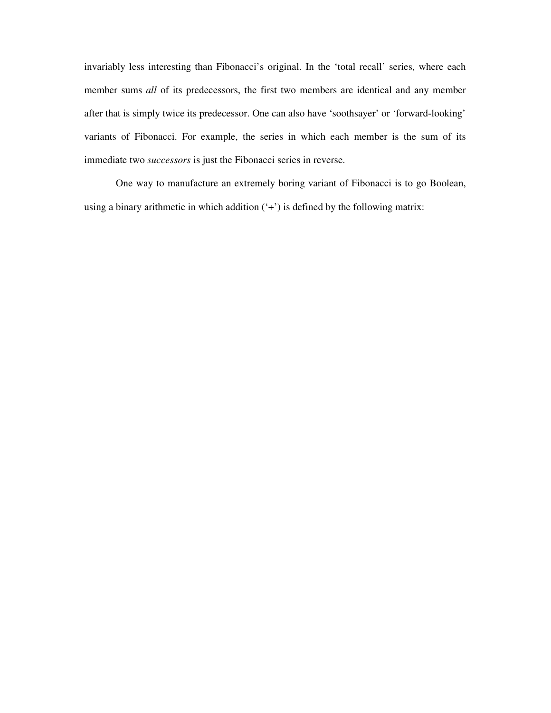invariably less interesting than Fibonacci's original. In the 'total recall' series, where each member sums *all* of its predecessors, the first two members are identical and any member after that is simply twice its predecessor. One can also have 'soothsayer' or 'forward-looking' variants of Fibonacci. For example, the series in which each member is the sum of its immediate two *successors* is just the Fibonacci series in reverse.

One way to manufacture an extremely boring variant of Fibonacci is to go Boolean, using a binary arithmetic in which addition ('+') is defined by the following matrix: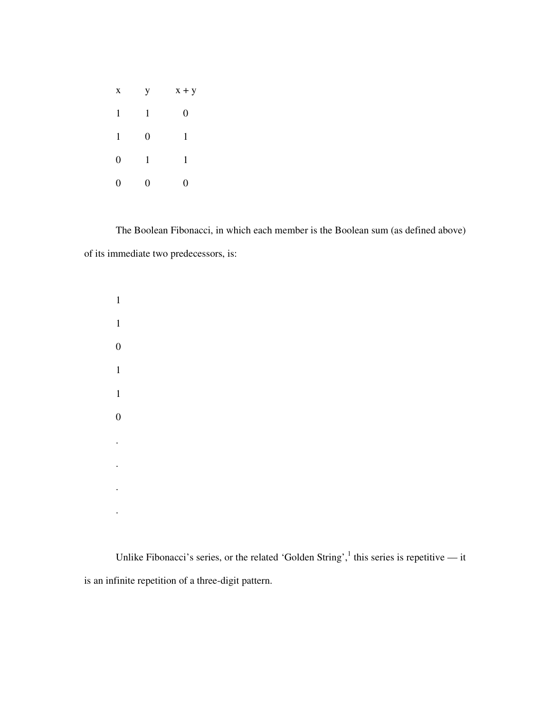| X                | y              | $x + y$        |
|------------------|----------------|----------------|
| $\mathbf{1}$     | $\mathbf{1}$   | $\overline{0}$ |
| $\mathbf{1}$     | $\overline{0}$ | 1              |
| $\boldsymbol{0}$ | $\mathbf{1}$   | $\mathbf{1}$   |
| 0                | 0              | 0              |

The Boolean Fibonacci, in which each member is the Boolean sum (as defined above) of its immediate two predecessors, is:

1

1

0

1

1

0

.

.

.

.

Unlike Fibonacci's series, or the related 'Golden String',  $\frac{1}{1}$  this series is repetitive — it is an infinite repetition of a three-digit pattern.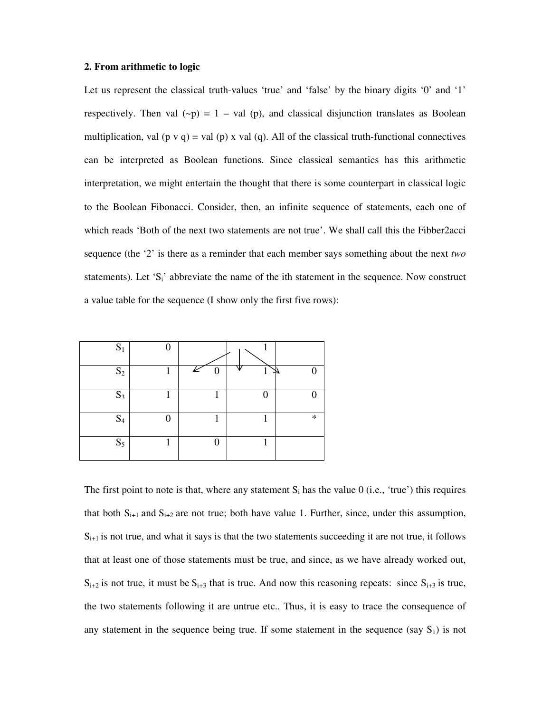#### **2. From arithmetic to logic**

Let us represent the classical truth-values 'true' and 'false' by the binary digits '0' and '1' respectively. Then val  $(\neg p) = 1 - \text{val}(p)$ , and classical disjunction translates as Boolean multiplication, val (p v q) = val (p) x val (q). All of the classical truth-functional connectives can be interpreted as Boolean functions. Since classical semantics has this arithmetic interpretation, we might entertain the thought that there is some counterpart in classical logic to the Boolean Fibonacci. Consider, then, an infinite sequence of statements, each one of which reads 'Both of the next two statements are not true'. We shall call this the Fibber2acci sequence (the '2' is there as a reminder that each member says something about the next *two* statements). Let 'S<sub>i</sub>' abbreviate the name of the ith statement in the sequence. Now construct a value table for the sequence (I show only the first five rows):

| $S_1$          |                     |   |        |
|----------------|---------------------|---|--------|
| $\mathbf{S}_2$ | Ł<br>$\overline{0}$ | π |        |
| $S_3$          |                     |   |        |
| $\mathbf{S}_4$ |                     |   | $\ast$ |
| $S_5$          |                     |   |        |

The first point to note is that, where any statement  $S_i$  has the value 0 (i.e., 'true') this requires that both  $S_{i+1}$  and  $S_{i+2}$  are not true; both have value 1. Further, since, under this assumption,  $S_{i+1}$  is not true, and what it says is that the two statements succeeding it are not true, it follows that at least one of those statements must be true, and since, as we have already worked out,  $S_{i+2}$  is not true, it must be  $S_{i+3}$  that is true. And now this reasoning repeats: since  $S_{i+3}$  is true, the two statements following it are untrue etc.. Thus, it is easy to trace the consequence of any statement in the sequence being true. If some statement in the sequence  $(say S<sub>1</sub>)$  is not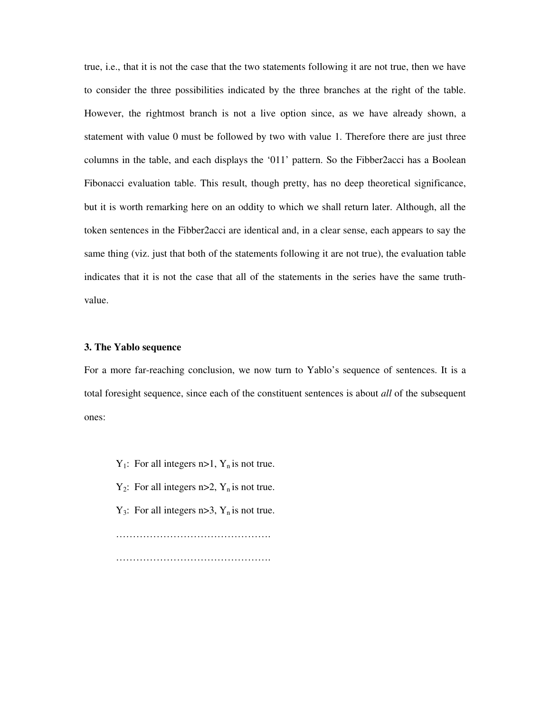true, i.e., that it is not the case that the two statements following it are not true, then we have to consider the three possibilities indicated by the three branches at the right of the table. However, the rightmost branch is not a live option since, as we have already shown, a statement with value 0 must be followed by two with value 1. Therefore there are just three columns in the table, and each displays the '011' pattern. So the Fibber2acci has a Boolean Fibonacci evaluation table. This result, though pretty, has no deep theoretical significance, but it is worth remarking here on an oddity to which we shall return later. Although, all the token sentences in the Fibber2acci are identical and, in a clear sense, each appears to say the same thing (viz. just that both of the statements following it are not true), the evaluation table indicates that it is not the case that all of the statements in the series have the same truthvalue.

#### **3. The Yablo sequence**

For a more far-reaching conclusion, we now turn to Yablo's sequence of sentences. It is a total foresight sequence, since each of the constituent sentences is about *all* of the subsequent ones:

- $Y_1$ : For all integers n>1,  $Y_n$  is not true.
- $Y_2$ : For all integers n>2,  $Y_n$  is not true.
- $Y_3$ : For all integers n>3,  $Y_n$  is not true.

………………………………………………… ……………………………………….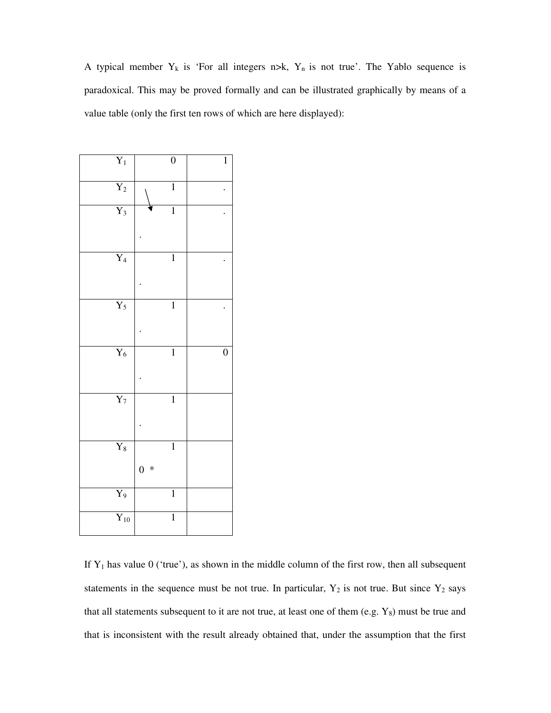A typical member  $Y_k$  is 'For all integers n>k,  $Y_n$  is not true'. The Yablo sequence is paradoxical. This may be proved formally and can be illustrated graphically by means of a value table (only the first ten rows of which are here displayed):

| $\overline{Y_1}$    | $\overline{0}$      | $\overline{1}$ |
|---------------------|---------------------|----------------|
| $\overline{Y_2}$    | $\overline{1}$      |                |
| $\overline{Y_3}$    | $\overline{1}$      |                |
|                     |                     |                |
| $\overline{Y_4}$    | $\overline{1}$      |                |
|                     |                     |                |
| $\overline{Y_5}$    | $\overline{1}$      |                |
|                     |                     |                |
| $\overline{Y_6}$    | $\overline{1}$      | $\overline{0}$ |
|                     |                     |                |
| $\overline{Y_7}$    | $\overline{1}$      |                |
|                     |                     |                |
| $\overline{Y_8}$    | $\overline{1}$      |                |
|                     | $\overline{0}$<br>× |                |
| $\overline{Y_9}$    | $\overline{1}$      |                |
| $\overline{Y_{10}}$ | $\overline{1}$      |                |

If  $Y_1$  has value 0 ('true'), as shown in the middle column of the first row, then all subsequent statements in the sequence must be not true. In particular,  $Y_2$  is not true. But since  $Y_2$  says that all statements subsequent to it are not true, at least one of them (e.g.  $Y_8$ ) must be true and that is inconsistent with the result already obtained that, under the assumption that the first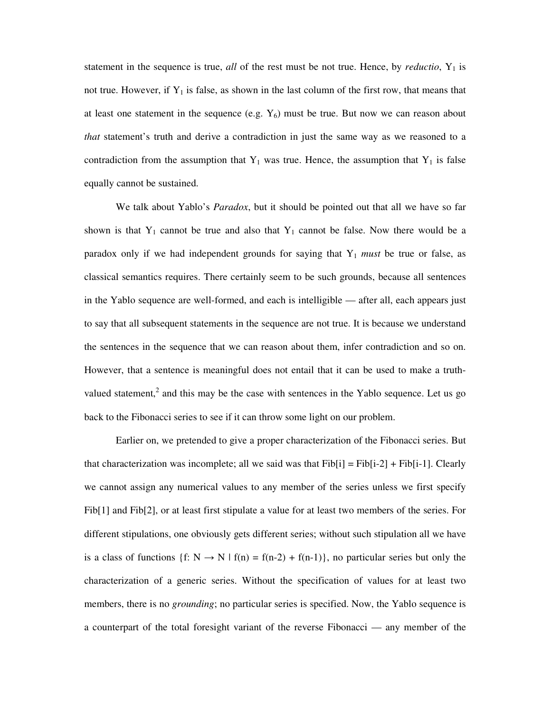statement in the sequence is true,  $all$  of the rest must be not true. Hence, by *reductio*,  $Y_1$  is not true. However, if  $Y_1$  is false, as shown in the last column of the first row, that means that at least one statement in the sequence (e.g.  $Y_6$ ) must be true. But now we can reason about *that* statement's truth and derive a contradiction in just the same way as we reasoned to a contradiction from the assumption that  $Y_1$  was true. Hence, the assumption that  $Y_1$  is false equally cannot be sustained.

We talk about Yablo's *Paradox*, but it should be pointed out that all we have so far shown is that  $Y_1$  cannot be true and also that  $Y_1$  cannot be false. Now there would be a paradox only if we had independent grounds for saying that  $Y_1$  must be true or false, as classical semantics requires. There certainly seem to be such grounds, because all sentences in the Yablo sequence are well-formed, and each is intelligible — after all, each appears just to say that all subsequent statements in the sequence are not true. It is because we understand the sentences in the sequence that we can reason about them, infer contradiction and so on. However, that a sentence is meaningful does not entail that it can be used to make a truthvalued statement,<sup>2</sup> and this may be the case with sentences in the Yablo sequence. Let us go back to the Fibonacci series to see if it can throw some light on our problem.

Earlier on, we pretended to give a proper characterization of the Fibonacci series. But that characterization was incomplete; all we said was that  $Fib[i] = Fib[i-2] + Fib[i-1]$ . Clearly we cannot assign any numerical values to any member of the series unless we first specify Fib[1] and Fib[2], or at least first stipulate a value for at least two members of the series. For different stipulations, one obviously gets different series; without such stipulation all we have is a class of functions  $\{f: N \to N | f(n) = f(n-2) + f(n-1)\}$ , no particular series but only the characterization of a generic series. Without the specification of values for at least two members, there is no *grounding*; no particular series is specified. Now, the Yablo sequence is a counterpart of the total foresight variant of the reverse Fibonacci — any member of the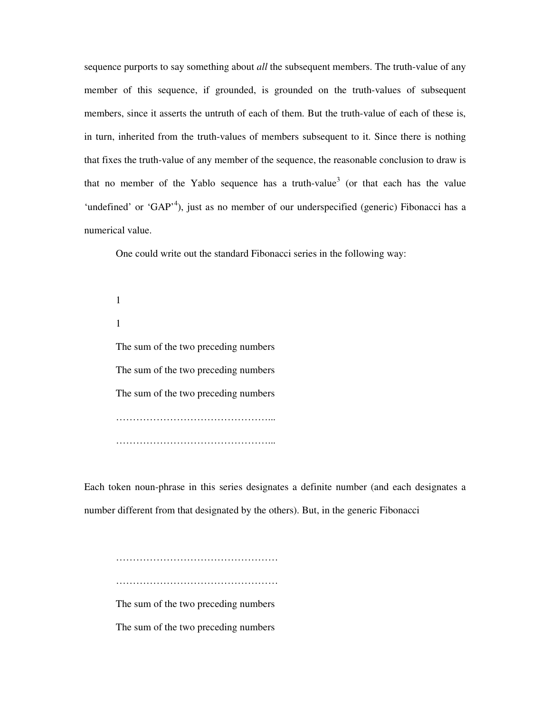sequence purports to say something about *all* the subsequent members. The truth-value of any member of this sequence, if grounded, is grounded on the truth-values of subsequent members, since it asserts the untruth of each of them. But the truth-value of each of these is, in turn, inherited from the truth-values of members subsequent to it. Since there is nothing that fixes the truth-value of any member of the sequence, the reasonable conclusion to draw is that no member of the Yablo sequence has a truth-value<sup>3</sup> (or that each has the value 'undefined' or 'GAP'<sup>4</sup>), just as no member of our underspecified (generic) Fibonacci has a numerical value.

One could write out the standard Fibonacci series in the following way:

1 1 The sum of the two preceding numbers The sum of the two preceding numbers The sum of the two preceding numbers ………………………………………... ………………………………………...

Each token noun-phrase in this series designates a definite number (and each designates a number different from that designated by the others). But, in the generic Fibonacci

…………………………………………………………

……………………………………………………

The sum of the two preceding numbers

The sum of the two preceding numbers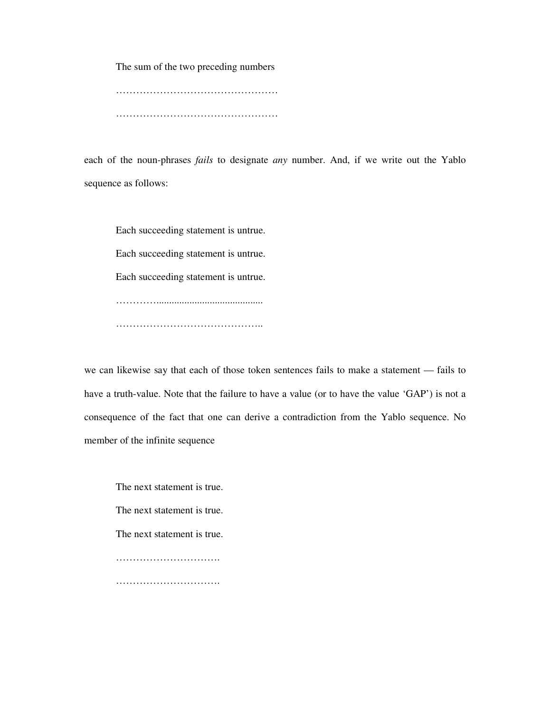The sum of the two preceding numbers

………………………………………… …………………………………………

each of the noun-phrases *fails* to designate *any* number. And, if we write out the Yablo sequence as follows:

Each succeeding statement is untrue. Each succeeding statement is untrue. Each succeeding statement is untrue. ……………………………………………………… ……………………………………..

we can likewise say that each of those token sentences fails to make a statement — fails to have a truth-value. Note that the failure to have a value (or to have the value 'GAP') is not a consequence of the fact that one can derive a contradiction from the Yablo sequence. No member of the infinite sequence

The next statement is true. The next statement is true. The next statement is true. …………………………. ………………………….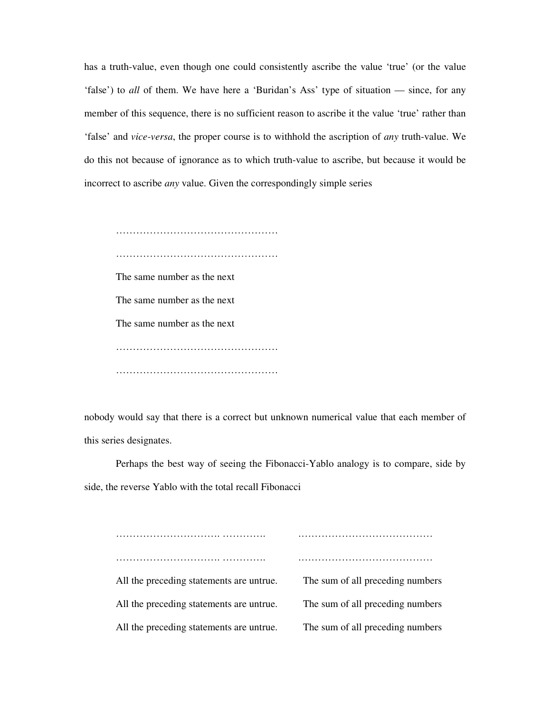has a truth-value, even though one could consistently ascribe the value 'true' (or the value 'false') to *all* of them. We have here a 'Buridan's Ass' type of situation — since, for any member of this sequence, there is no sufficient reason to ascribe it the value 'true' rather than 'false' and *vice-versa*, the proper course is to withhold the ascription of *any* truth-value. We do this not because of ignorance as to which truth-value to ascribe, but because it would be incorrect to ascribe *any* value. Given the correspondingly simple series

………………………………………… ………………………………………… The same number as the next The same number as the next The same number as the next …………………………………………………… …………………………………………

nobody would say that there is a correct but unknown numerical value that each member of this series designates.

Perhaps the best way of seeing the Fibonacci-Yablo analogy is to compare, side by side, the reverse Yablo with the total recall Fibonacci

| All the preceding statements are untrue. | The sum of all preceding numbers |
|------------------------------------------|----------------------------------|
| All the preceding statements are untrue. | The sum of all preceding numbers |
| All the preceding statements are untrue. | The sum of all preceding numbers |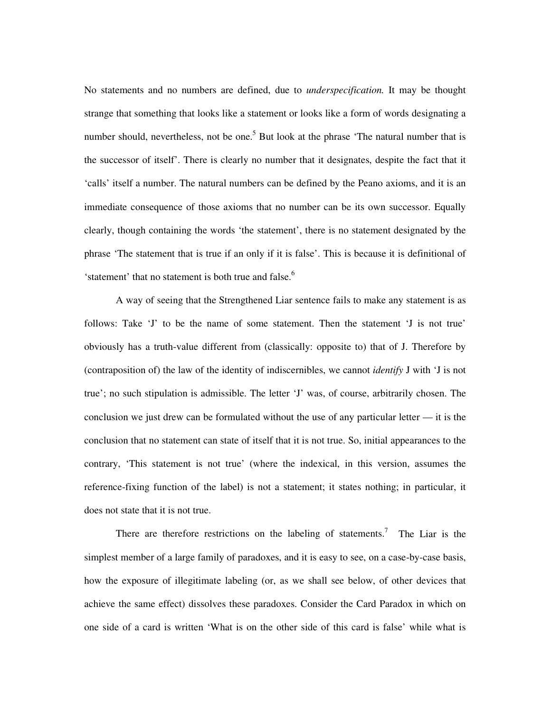No statements and no numbers are defined, due to *underspecification.* It may be thought strange that something that looks like a statement or looks like a form of words designating a number should, nevertheless, not be one.<sup>5</sup> But look at the phrase 'The natural number that is the successor of itself'. There is clearly no number that it designates, despite the fact that it 'calls' itself a number. The natural numbers can be defined by the Peano axioms, and it is an immediate consequence of those axioms that no number can be its own successor. Equally clearly, though containing the words 'the statement', there is no statement designated by the phrase 'The statement that is true if an only if it is false'. This is because it is definitional of 'statement' that no statement is both true and false.<sup>6</sup>

A way of seeing that the Strengthened Liar sentence fails to make any statement is as follows: Take 'J' to be the name of some statement. Then the statement 'J is not true' obviously has a truth-value different from (classically: opposite to) that of J. Therefore by (contraposition of) the law of the identity of indiscernibles, we cannot *identify* J with 'J is not true'; no such stipulation is admissible. The letter 'J' was, of course, arbitrarily chosen. The conclusion we just drew can be formulated without the use of any particular letter — it is the conclusion that no statement can state of itself that it is not true. So, initial appearances to the contrary, 'This statement is not true' (where the indexical, in this version, assumes the reference-fixing function of the label) is not a statement; it states nothing; in particular, it does not state that it is not true.

There are therefore restrictions on the labeling of statements.<sup>7</sup> The Liar is the simplest member of a large family of paradoxes, and it is easy to see, on a case-by-case basis, how the exposure of illegitimate labeling (or, as we shall see below, of other devices that achieve the same effect) dissolves these paradoxes. Consider the Card Paradox in which on one side of a card is written 'What is on the other side of this card is false' while what is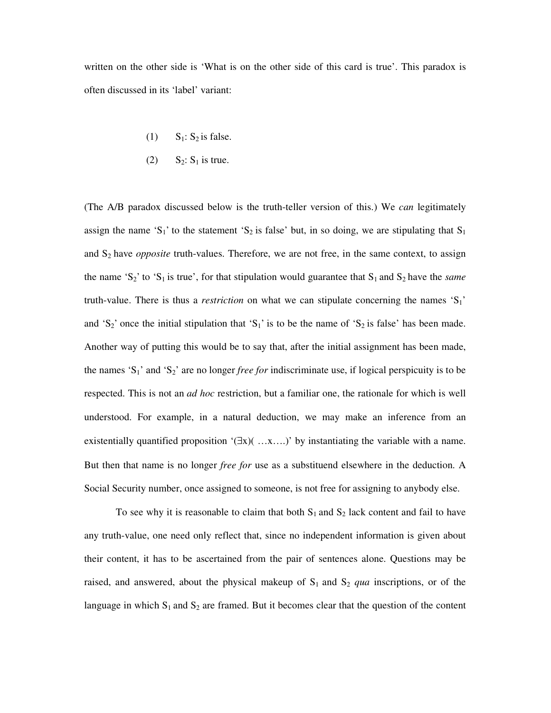written on the other side is 'What is on the other side of this card is true'. This paradox is often discussed in its 'label' variant:

- (1)  $S_1: S_2$  is false.
- (2)  $S_2: S_1$  is true.

(The A/B paradox discussed below is the truth-teller version of this.) We *can* legitimately assign the name 'S<sub>1</sub>' to the statement 'S<sub>2</sub> is false' but, in so doing, we are stipulating that  $S_1$ and S2 have *opposite* truth-values. Therefore, we are not free, in the same context, to assign the name 'S<sub>2</sub>' to 'S<sub>1</sub> is true', for that stipulation would guarantee that S<sub>1</sub> and S<sub>2</sub> have the *same* truth-value. There is thus a *restriction* on what we can stipulate concerning the names 'S1' and 'S<sub>2</sub>' once the initial stipulation that 'S<sub>1</sub>' is to be the name of 'S<sub>2</sub> is false' has been made. Another way of putting this would be to say that, after the initial assignment has been made, the names 'S1' and 'S2' are no longer *free for* indiscriminate use, if logical perspicuity is to be respected. This is not an *ad hoc* restriction, but a familiar one, the rationale for which is well understood. For example, in a natural deduction, we may make an inference from an existentially quantified proposition ' $(\exists x)$ ( …x….)' by instantiating the variable with a name. But then that name is no longer *free for* use as a substituend elsewhere in the deduction. A Social Security number, once assigned to someone, is not free for assigning to anybody else.

To see why it is reasonable to claim that both  $S_1$  and  $S_2$  lack content and fail to have any truth-value, one need only reflect that, since no independent information is given about their content, it has to be ascertained from the pair of sentences alone. Questions may be raised, and answered, about the physical makeup of  $S_1$  and  $S_2$  *qua* inscriptions, or of the language in which  $S_1$  and  $S_2$  are framed. But it becomes clear that the question of the content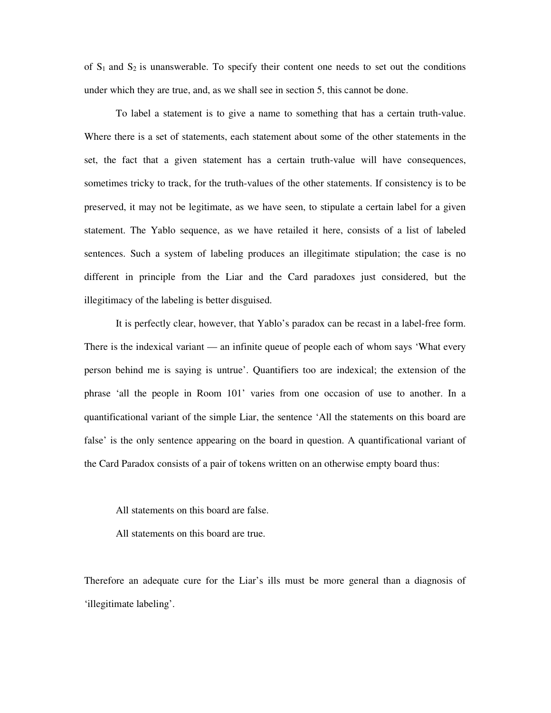of  $S_1$  and  $S_2$  is unanswerable. To specify their content one needs to set out the conditions under which they are true, and, as we shall see in section 5, this cannot be done.

To label a statement is to give a name to something that has a certain truth-value. Where there is a set of statements, each statement about some of the other statements in the set, the fact that a given statement has a certain truth-value will have consequences, sometimes tricky to track, for the truth-values of the other statements. If consistency is to be preserved, it may not be legitimate, as we have seen, to stipulate a certain label for a given statement. The Yablo sequence, as we have retailed it here, consists of a list of labeled sentences. Such a system of labeling produces an illegitimate stipulation; the case is no different in principle from the Liar and the Card paradoxes just considered, but the illegitimacy of the labeling is better disguised.

It is perfectly clear, however, that Yablo's paradox can be recast in a label-free form. There is the indexical variant — an infinite queue of people each of whom says 'What every person behind me is saying is untrue'. Quantifiers too are indexical; the extension of the phrase 'all the people in Room 101' varies from one occasion of use to another. In a quantificational variant of the simple Liar, the sentence 'All the statements on this board are false' is the only sentence appearing on the board in question. A quantificational variant of the Card Paradox consists of a pair of tokens written on an otherwise empty board thus:

All statements on this board are false.

All statements on this board are true.

Therefore an adequate cure for the Liar's ills must be more general than a diagnosis of 'illegitimate labeling'.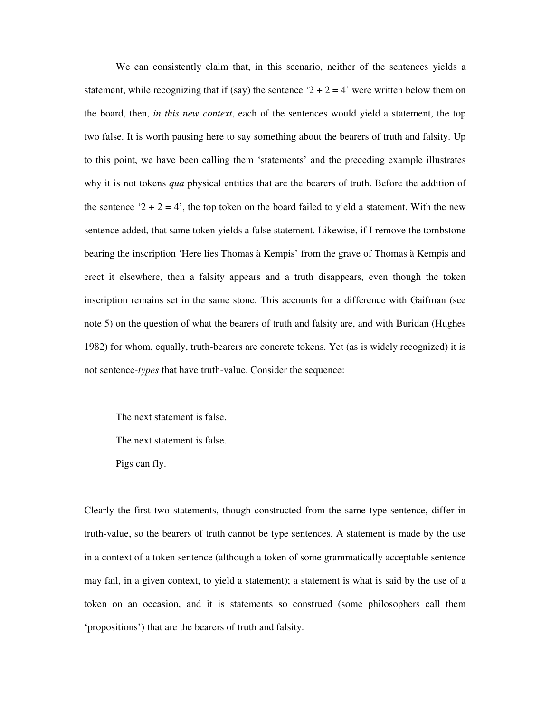We can consistently claim that, in this scenario, neither of the sentences yields a statement, while recognizing that if (say) the sentence ' $2 + 2 = 4$ ' were written below them on the board, then, *in this new context*, each of the sentences would yield a statement, the top two false. It is worth pausing here to say something about the bearers of truth and falsity. Up to this point, we have been calling them 'statements' and the preceding example illustrates why it is not tokens *qua* physical entities that are the bearers of truth. Before the addition of the sentence '2 + 2 = 4', the top token on the board failed to yield a statement. With the new sentence added, that same token yields a false statement. Likewise, if I remove the tombstone bearing the inscription 'Here lies Thomas à Kempis' from the grave of Thomas à Kempis and erect it elsewhere, then a falsity appears and a truth disappears, even though the token inscription remains set in the same stone. This accounts for a difference with Gaifman (see note 5) on the question of what the bearers of truth and falsity are, and with Buridan (Hughes 1982) for whom, equally, truth-bearers are concrete tokens. Yet (as is widely recognized) it is not sentence-*types* that have truth-value. Consider the sequence:

The next statement is false. The next statement is false. Pigs can fly.

Clearly the first two statements, though constructed from the same type-sentence, differ in truth-value, so the bearers of truth cannot be type sentences. A statement is made by the use in a context of a token sentence (although a token of some grammatically acceptable sentence may fail, in a given context, to yield a statement); a statement is what is said by the use of a token on an occasion, and it is statements so construed (some philosophers call them 'propositions') that are the bearers of truth and falsity.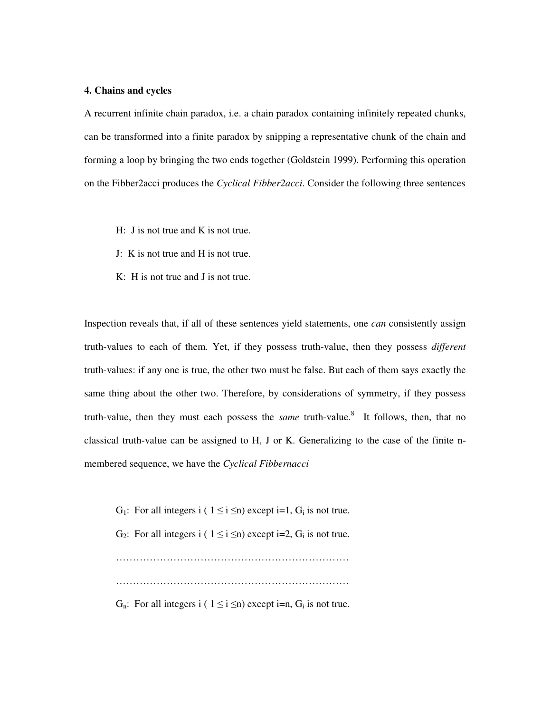#### **4. Chains and cycles**

A recurrent infinite chain paradox, i.e. a chain paradox containing infinitely repeated chunks, can be transformed into a finite paradox by snipping a representative chunk of the chain and forming a loop by bringing the two ends together (Goldstein 1999). Performing this operation on the Fibber2acci produces the *Cyclical Fibber2acci*. Consider the following three sentences

- H: J is not true and K is not true.
- J: K is not true and H is not true.
- K: H is not true and J is not true.

Inspection reveals that, if all of these sentences yield statements, one *can* consistently assign truth-values to each of them. Yet, if they possess truth-value, then they possess *different*  truth-values: if any one is true, the other two must be false. But each of them says exactly the same thing about the other two. Therefore, by considerations of symmetry, if they possess truth-value, then they must each possess the *same* truth-value.<sup>8</sup> It follows, then, that no classical truth-value can be assigned to H, J or K. Generalizing to the case of the finite nmembered sequence, we have the *Cyclical Fibbernacci*

 $G_1$ : For all integers i (  $1 \le i \le n$ ) except i=1,  $G_i$  is not true.

 $G_2$ : For all integers i (  $1 \le i \le n$ ) except i=2,  $G_i$  is not true.

……………………………………………………………

……………………………………………………………

 $G_n$ : For all integers i (  $1 \le i \le n$ ) except i=n,  $G_i$  is not true.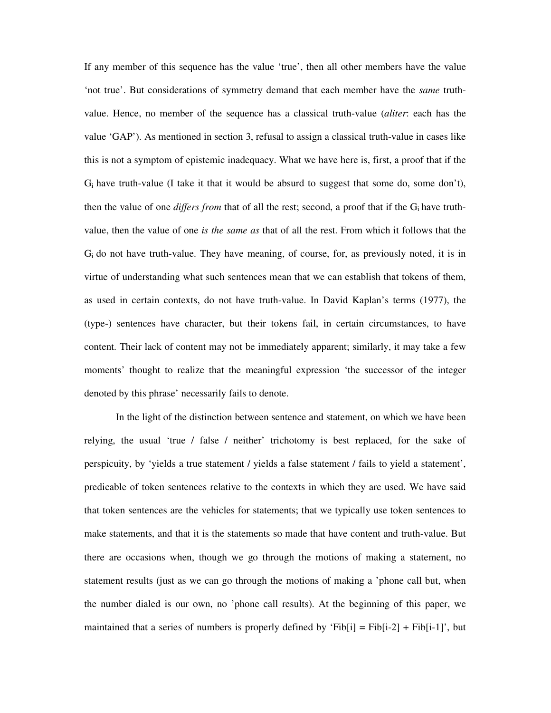If any member of this sequence has the value 'true', then all other members have the value 'not true'. But considerations of symmetry demand that each member have the *same* truthvalue. Hence, no member of the sequence has a classical truth-value (*aliter*: each has the value 'GAP'). As mentioned in section 3, refusal to assign a classical truth-value in cases like this is not a symptom of epistemic inadequacy. What we have here is, first, a proof that if the  $G_i$  have truth-value (I take it that it would be absurd to suggest that some do, some don't), then the value of one *differs from* that of all the rest; second, a proof that if the G<sub>i</sub> have truthvalue, then the value of one *is the same as* that of all the rest. From which it follows that the  $G_i$  do not have truth-value. They have meaning, of course, for, as previously noted, it is in virtue of understanding what such sentences mean that we can establish that tokens of them, as used in certain contexts, do not have truth-value. In David Kaplan's terms (1977), the (type-) sentences have character, but their tokens fail, in certain circumstances, to have content. Their lack of content may not be immediately apparent; similarly, it may take a few moments' thought to realize that the meaningful expression 'the successor of the integer denoted by this phrase' necessarily fails to denote.

In the light of the distinction between sentence and statement, on which we have been relying, the usual 'true / false / neither' trichotomy is best replaced, for the sake of perspicuity, by 'yields a true statement / yields a false statement / fails to yield a statement', predicable of token sentences relative to the contexts in which they are used. We have said that token sentences are the vehicles for statements; that we typically use token sentences to make statements, and that it is the statements so made that have content and truth-value. But there are occasions when, though we go through the motions of making a statement, no statement results (just as we can go through the motions of making a 'phone call but, when the number dialed is our own, no 'phone call results). At the beginning of this paper, we maintained that a series of numbers is properly defined by 'Fib[i] = Fib[i-2] + Fib[i-1]', but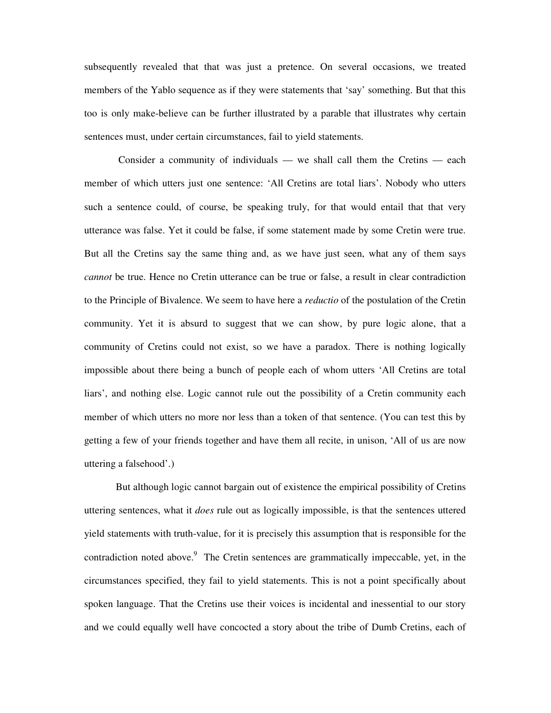subsequently revealed that that was just a pretence. On several occasions, we treated members of the Yablo sequence as if they were statements that 'say' something. But that this too is only make-believe can be further illustrated by a parable that illustrates why certain sentences must, under certain circumstances, fail to yield statements.

 Consider a community of individuals — we shall call them the Cretins — each member of which utters just one sentence: 'All Cretins are total liars'. Nobody who utters such a sentence could, of course, be speaking truly, for that would entail that that very utterance was false. Yet it could be false, if some statement made by some Cretin were true. But all the Cretins say the same thing and, as we have just seen, what any of them says *cannot* be true. Hence no Cretin utterance can be true or false, a result in clear contradiction to the Principle of Bivalence. We seem to have here a *reductio* of the postulation of the Cretin community. Yet it is absurd to suggest that we can show, by pure logic alone, that a community of Cretins could not exist, so we have a paradox. There is nothing logically impossible about there being a bunch of people each of whom utters 'All Cretins are total liars', and nothing else. Logic cannot rule out the possibility of a Cretin community each member of which utters no more nor less than a token of that sentence. (You can test this by getting a few of your friends together and have them all recite, in unison, 'All of us are now uttering a falsehood'.)

But although logic cannot bargain out of existence the empirical possibility of Cretins uttering sentences, what it *does* rule out as logically impossible, is that the sentences uttered yield statements with truth-value, for it is precisely this assumption that is responsible for the contradiction noted above.<sup>9</sup> The Cretin sentences are grammatically impeccable, yet, in the circumstances specified, they fail to yield statements. This is not a point specifically about spoken language. That the Cretins use their voices is incidental and inessential to our story and we could equally well have concocted a story about the tribe of Dumb Cretins, each of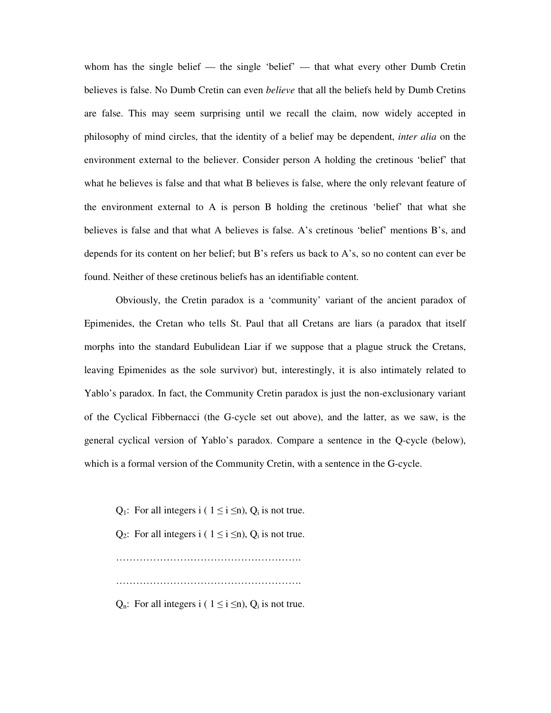whom has the single belief — the single 'belief' — that what every other Dumb Cretin believes is false. No Dumb Cretin can even *believe* that all the beliefs held by Dumb Cretins are false. This may seem surprising until we recall the claim, now widely accepted in philosophy of mind circles, that the identity of a belief may be dependent, *inter alia* on the environment external to the believer. Consider person A holding the cretinous 'belief' that what he believes is false and that what B believes is false, where the only relevant feature of the environment external to A is person B holding the cretinous 'belief' that what she believes is false and that what A believes is false. A's cretinous 'belief' mentions B's, and depends for its content on her belief; but B's refers us back to A's, so no content can ever be found. Neither of these cretinous beliefs has an identifiable content.

Obviously, the Cretin paradox is a 'community' variant of the ancient paradox of Epimenides, the Cretan who tells St. Paul that all Cretans are liars (a paradox that itself morphs into the standard Eubulidean Liar if we suppose that a plague struck the Cretans, leaving Epimenides as the sole survivor) but, interestingly, it is also intimately related to Yablo's paradox. In fact, the Community Cretin paradox is just the non-exclusionary variant of the Cyclical Fibbernacci (the G-cycle set out above), and the latter, as we saw, is the general cyclical version of Yablo's paradox. Compare a sentence in the Q-cycle (below), which is a formal version of the Community Cretin, with a sentence in the G-cycle.

 $Q_1$ : For all integers i (  $1 \le i \le n$ ),  $Q_i$  is not true.

 $Q_2$ : For all integers i (  $1 \le i \le n$ ),  $Q_i$  is not true.

…………………………………………………………… …………………………………………………………

 $Q_n$ : For all integers i (  $1 \le i \le n$ ),  $Q_i$  is not true.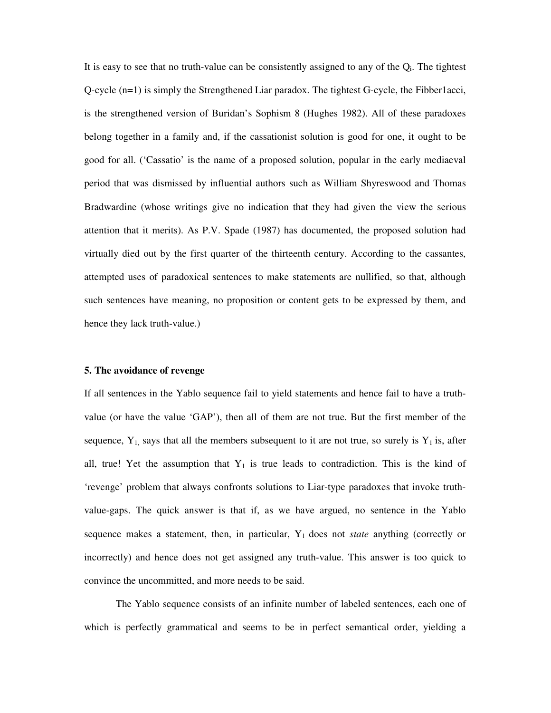It is easy to see that no truth-value can be consistently assigned to any of the  $Q_i$ . The tightest Q-cycle (n=1) is simply the Strengthened Liar paradox. The tightest G-cycle, the Fibber1acci, is the strengthened version of Buridan's Sophism 8 (Hughes 1982). All of these paradoxes belong together in a family and, if the cassationist solution is good for one, it ought to be good for all. ('Cassatio' is the name of a proposed solution, popular in the early mediaeval period that was dismissed by influential authors such as William Shyreswood and Thomas Bradwardine (whose writings give no indication that they had given the view the serious attention that it merits). As P.V. Spade (1987) has documented, the proposed solution had virtually died out by the first quarter of the thirteenth century. According to the cassantes, attempted uses of paradoxical sentences to make statements are nullified, so that, although such sentences have meaning, no proposition or content gets to be expressed by them, and hence they lack truth-value.)

#### **5. The avoidance of revenge**

If all sentences in the Yablo sequence fail to yield statements and hence fail to have a truthvalue (or have the value 'GAP'), then all of them are not true. But the first member of the sequence,  $Y_1$ , says that all the members subsequent to it are not true, so surely is  $Y_1$  is, after all, true! Yet the assumption that  $Y_1$  is true leads to contradiction. This is the kind of 'revenge' problem that always confronts solutions to Liar-type paradoxes that invoke truthvalue-gaps. The quick answer is that if, as we have argued, no sentence in the Yablo sequence makes a statement, then, in particular,  $Y_1$  does not *state* anything (correctly or incorrectly) and hence does not get assigned any truth-value. This answer is too quick to convince the uncommitted, and more needs to be said.

The Yablo sequence consists of an infinite number of labeled sentences, each one of which is perfectly grammatical and seems to be in perfect semantical order, yielding a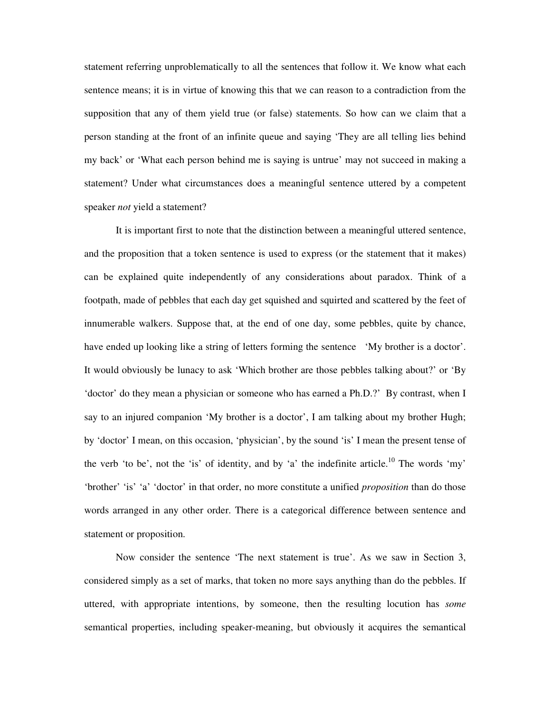statement referring unproblematically to all the sentences that follow it. We know what each sentence means; it is in virtue of knowing this that we can reason to a contradiction from the supposition that any of them yield true (or false) statements. So how can we claim that a person standing at the front of an infinite queue and saying 'They are all telling lies behind my back' or 'What each person behind me is saying is untrue' may not succeed in making a statement? Under what circumstances does a meaningful sentence uttered by a competent speaker *not* yield a statement?

It is important first to note that the distinction between a meaningful uttered sentence, and the proposition that a token sentence is used to express (or the statement that it makes) can be explained quite independently of any considerations about paradox. Think of a footpath, made of pebbles that each day get squished and squirted and scattered by the feet of innumerable walkers. Suppose that, at the end of one day, some pebbles, quite by chance, have ended up looking like a string of letters forming the sentence 'My brother is a doctor'. It would obviously be lunacy to ask 'Which brother are those pebbles talking about?' or 'By 'doctor' do they mean a physician or someone who has earned a Ph.D.?' By contrast, when I say to an injured companion 'My brother is a doctor', I am talking about my brother Hugh; by 'doctor' I mean, on this occasion, 'physician', by the sound 'is' I mean the present tense of the verb 'to be', not the 'is' of identity, and by 'a' the indefinite article.<sup>10</sup> The words 'my' 'brother' 'is' 'a' 'doctor' in that order, no more constitute a unified *proposition* than do those words arranged in any other order. There is a categorical difference between sentence and statement or proposition.

Now consider the sentence 'The next statement is true'. As we saw in Section 3, considered simply as a set of marks, that token no more says anything than do the pebbles. If uttered, with appropriate intentions, by someone, then the resulting locution has *some*  semantical properties, including speaker-meaning, but obviously it acquires the semantical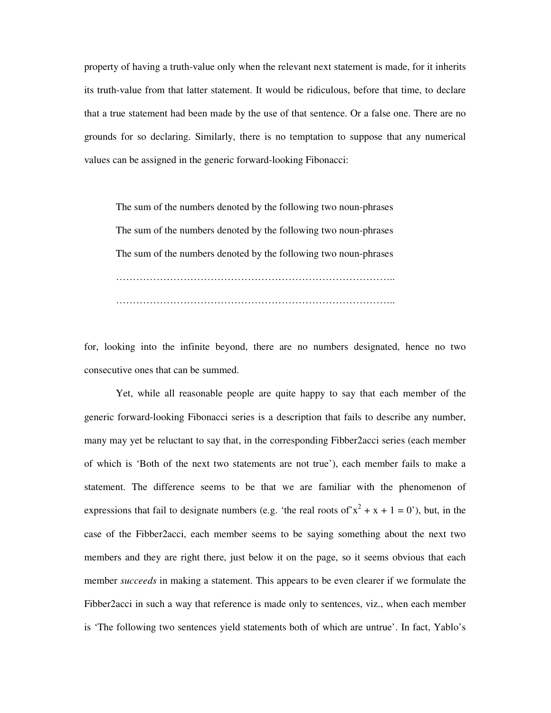property of having a truth-value only when the relevant next statement is made, for it inherits its truth-value from that latter statement. It would be ridiculous, before that time, to declare that a true statement had been made by the use of that sentence. Or a false one. There are no grounds for so declaring. Similarly, there is no temptation to suppose that any numerical values can be assigned in the generic forward-looking Fibonacci:

The sum of the numbers denoted by the following two noun-phrases The sum of the numbers denoted by the following two noun-phrases The sum of the numbers denoted by the following two noun-phrases ……………………………………………………………………….. ………………………………………………………………………..

for, looking into the infinite beyond, there are no numbers designated, hence no two consecutive ones that can be summed.

Yet, while all reasonable people are quite happy to say that each member of the generic forward-looking Fibonacci series is a description that fails to describe any number, many may yet be reluctant to say that, in the corresponding Fibber2acci series (each member of which is 'Both of the next two statements are not true'), each member fails to make a statement. The difference seems to be that we are familiar with the phenomenon of expressions that fail to designate numbers (e.g. 'the real roots of' $x^2 + x + 1 = 0$ '), but, in the case of the Fibber2acci, each member seems to be saying something about the next two members and they are right there, just below it on the page, so it seems obvious that each member *succeeds* in making a statement. This appears to be even clearer if we formulate the Fibber2acci in such a way that reference is made only to sentences, viz., when each member is 'The following two sentences yield statements both of which are untrue'. In fact, Yablo's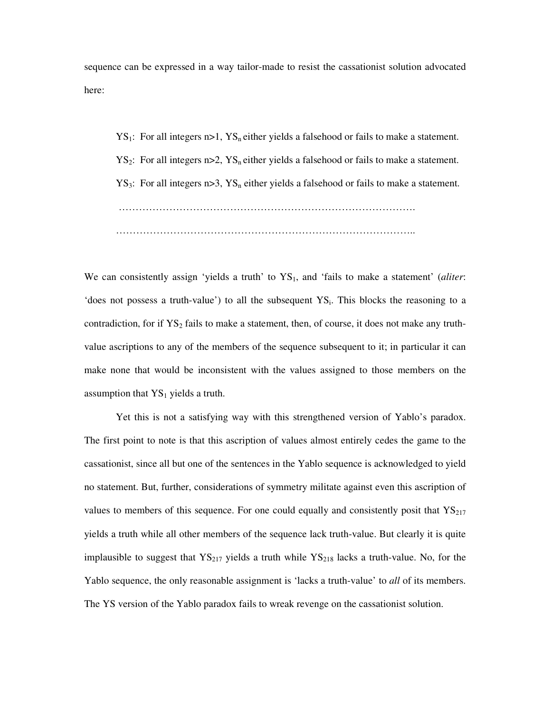sequence can be expressed in a way tailor-made to resist the cassationist solution advocated here:

YS<sub>1</sub>: For all integers  $n>1$ , YS<sub>n</sub> either yields a falsehood or fails to make a statement.  $YS_2$ : For all integers n>2,  $YS_n$  either yields a falsehood or fails to make a statement.  $YS_3$ : For all integers  $n > 3$ ,  $YS_n$  either yields a falsehood or fails to make a statement. ……………………………………………………………………………. ……………………………………………………………………………..

We can consistently assign 'yields a truth' to YS<sub>1</sub>, and 'fails to make a statement' (*aliter*: 'does not possess a truth-value') to all the subsequent  $YS_i$ . This blocks the reasoning to a contradiction, for if  $YS<sub>2</sub>$  fails to make a statement, then, of course, it does not make any truthvalue ascriptions to any of the members of the sequence subsequent to it; in particular it can make none that would be inconsistent with the values assigned to those members on the assumption that  $YS<sub>1</sub>$  yields a truth.

Yet this is not a satisfying way with this strengthened version of Yablo's paradox. The first point to note is that this ascription of values almost entirely cedes the game to the cassationist, since all but one of the sentences in the Yablo sequence is acknowledged to yield no statement. But, further, considerations of symmetry militate against even this ascription of values to members of this sequence. For one could equally and consistently posit that  $YS_{217}$ yields a truth while all other members of the sequence lack truth-value. But clearly it is quite implausible to suggest that  $YS_{217}$  yields a truth while  $YS_{218}$  lacks a truth-value. No, for the Yablo sequence, the only reasonable assignment is 'lacks a truth-value' to *all* of its members. The YS version of the Yablo paradox fails to wreak revenge on the cassationist solution.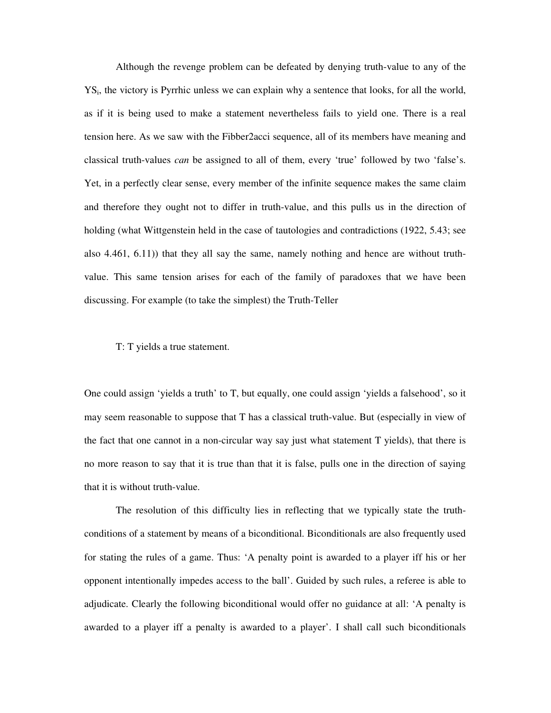Although the revenge problem can be defeated by denying truth-value to any of the YS<sup>i</sup> , the victory is Pyrrhic unless we can explain why a sentence that looks, for all the world, as if it is being used to make a statement nevertheless fails to yield one. There is a real tension here. As we saw with the Fibber2acci sequence, all of its members have meaning and classical truth-values *can* be assigned to all of them, every 'true' followed by two 'false's. Yet, in a perfectly clear sense, every member of the infinite sequence makes the same claim and therefore they ought not to differ in truth-value, and this pulls us in the direction of holding (what Wittgenstein held in the case of tautologies and contradictions (1922, 5.43; see also 4.461, 6.11)) that they all say the same, namely nothing and hence are without truthvalue. This same tension arises for each of the family of paradoxes that we have been discussing. For example (to take the simplest) the Truth-Teller

#### T: T yields a true statement.

One could assign 'yields a truth' to T, but equally, one could assign 'yields a falsehood', so it may seem reasonable to suppose that T has a classical truth-value. But (especially in view of the fact that one cannot in a non-circular way say just what statement T yields), that there is no more reason to say that it is true than that it is false, pulls one in the direction of saying that it is without truth-value.

The resolution of this difficulty lies in reflecting that we typically state the truthconditions of a statement by means of a biconditional. Biconditionals are also frequently used for stating the rules of a game. Thus: 'A penalty point is awarded to a player iff his or her opponent intentionally impedes access to the ball'. Guided by such rules, a referee is able to adjudicate. Clearly the following biconditional would offer no guidance at all: 'A penalty is awarded to a player iff a penalty is awarded to a player'. I shall call such biconditionals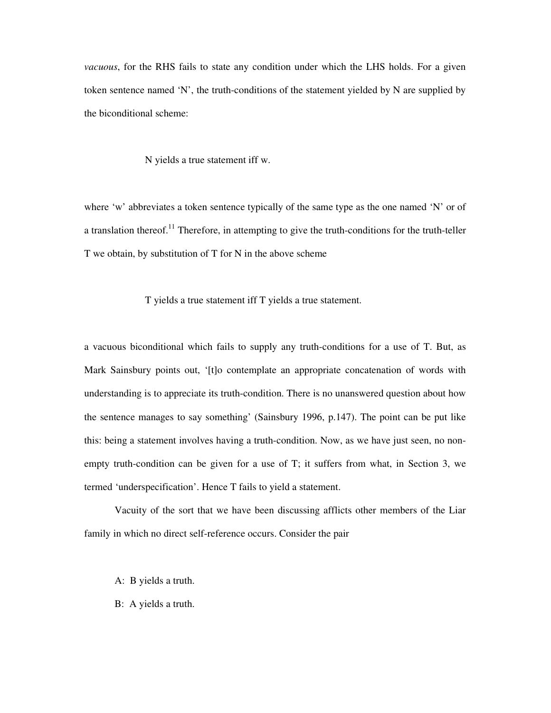*vacuous*, for the RHS fails to state any condition under which the LHS holds. For a given token sentence named 'N', the truth-conditions of the statement yielded by N are supplied by the biconditional scheme:

#### N yields a true statement iff w.

where 'w' abbreviates a token sentence typically of the same type as the one named 'N' or of a translation thereof.<sup>11</sup> Therefore, in attempting to give the truth-conditions for the truth-teller T we obtain, by substitution of T for N in the above scheme

#### T yields a true statement iff T yields a true statement.

a vacuous biconditional which fails to supply any truth-conditions for a use of T. But, as Mark Sainsbury points out, '[t]o contemplate an appropriate concatenation of words with understanding is to appreciate its truth-condition. There is no unanswered question about how the sentence manages to say something' (Sainsbury 1996, p.147). The point can be put like this: being a statement involves having a truth-condition. Now, as we have just seen, no nonempty truth-condition can be given for a use of T; it suffers from what, in Section 3, we termed 'underspecification'. Hence T fails to yield a statement.

Vacuity of the sort that we have been discussing afflicts other members of the Liar family in which no direct self-reference occurs. Consider the pair

- A: B yields a truth.
- B: A yields a truth.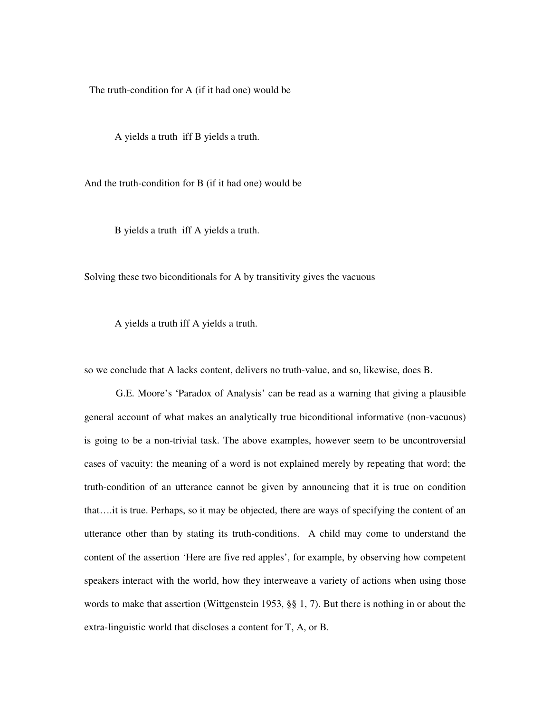The truth-condition for A (if it had one) would be

A yields a truth iff B yields a truth.

And the truth-condition for B (if it had one) would be

B yields a truth iff A yields a truth.

Solving these two biconditionals for A by transitivity gives the vacuous

A yields a truth iff A yields a truth.

so we conclude that A lacks content, delivers no truth-value, and so, likewise, does B.

G.E. Moore's 'Paradox of Analysis' can be read as a warning that giving a plausible general account of what makes an analytically true biconditional informative (non-vacuous) is going to be a non-trivial task. The above examples, however seem to be uncontroversial cases of vacuity: the meaning of a word is not explained merely by repeating that word; the truth-condition of an utterance cannot be given by announcing that it is true on condition that….it is true. Perhaps, so it may be objected, there are ways of specifying the content of an utterance other than by stating its truth-conditions. A child may come to understand the content of the assertion 'Here are five red apples', for example, by observing how competent speakers interact with the world, how they interweave a variety of actions when using those words to make that assertion (Wittgenstein 1953, §§ 1, 7). But there is nothing in or about the extra-linguistic world that discloses a content for T, A, or B.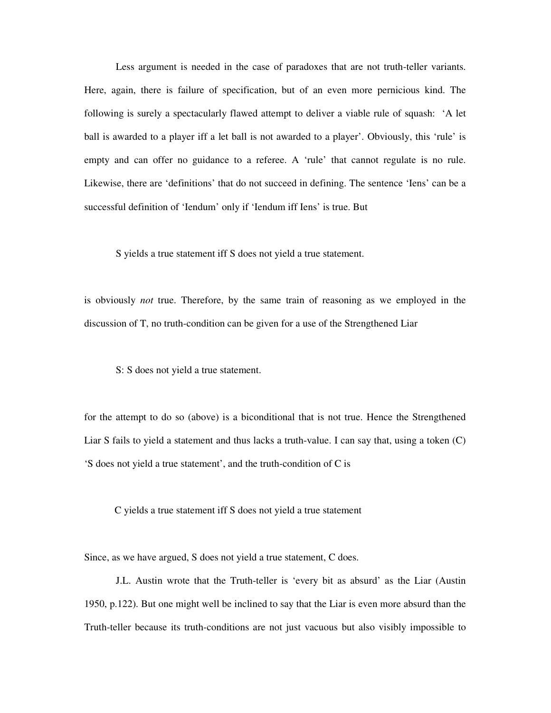Less argument is needed in the case of paradoxes that are not truth-teller variants. Here, again, there is failure of specification, but of an even more pernicious kind. The following is surely a spectacularly flawed attempt to deliver a viable rule of squash: 'A let ball is awarded to a player iff a let ball is not awarded to a player'. Obviously, this 'rule' is empty and can offer no guidance to a referee. A 'rule' that cannot regulate is no rule. Likewise, there are 'definitions' that do not succeed in defining. The sentence 'Iens' can be a successful definition of 'Iendum' only if 'Iendum iff Iens' is true. But

S yields a true statement iff S does not yield a true statement.

is obviously *not* true. Therefore, by the same train of reasoning as we employed in the discussion of T, no truth-condition can be given for a use of the Strengthened Liar

S: S does not yield a true statement.

for the attempt to do so (above) is a biconditional that is not true. Hence the Strengthened Liar S fails to yield a statement and thus lacks a truth-value. I can say that, using a token (C) 'S does not yield a true statement', and the truth-condition of C is

C yields a true statement iff S does not yield a true statement

Since, as we have argued, S does not yield a true statement, C does.

J.L. Austin wrote that the Truth-teller is 'every bit as absurd' as the Liar (Austin 1950, p.122). But one might well be inclined to say that the Liar is even more absurd than the Truth-teller because its truth-conditions are not just vacuous but also visibly impossible to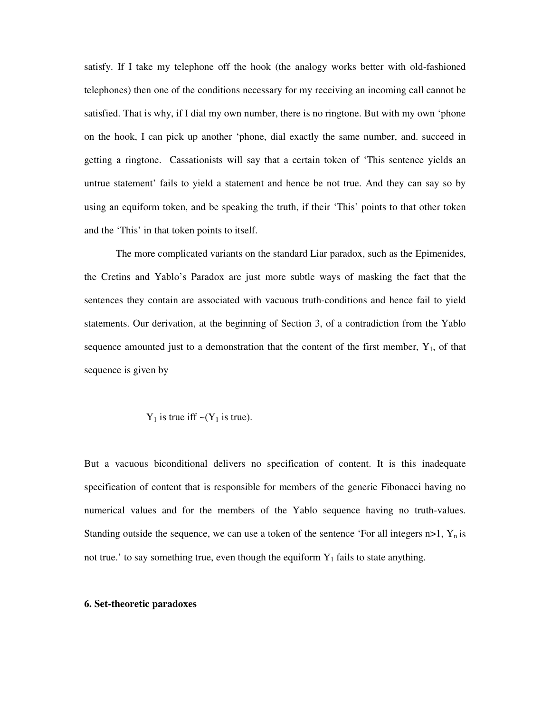satisfy. If I take my telephone off the hook (the analogy works better with old-fashioned telephones) then one of the conditions necessary for my receiving an incoming call cannot be satisfied. That is why, if I dial my own number, there is no ringtone. But with my own 'phone on the hook, I can pick up another 'phone, dial exactly the same number, and. succeed in getting a ringtone. Cassationists will say that a certain token of 'This sentence yields an untrue statement' fails to yield a statement and hence be not true. And they can say so by using an equiform token, and be speaking the truth, if their 'This' points to that other token and the 'This' in that token points to itself.

The more complicated variants on the standard Liar paradox, such as the Epimenides, the Cretins and Yablo's Paradox are just more subtle ways of masking the fact that the sentences they contain are associated with vacuous truth-conditions and hence fail to yield statements. Our derivation, at the beginning of Section 3, of a contradiction from the Yablo sequence amounted just to a demonstration that the content of the first member,  $Y_1$ , of that sequence is given by

$$
Y_1
$$
 is true iff  $\sim (Y_1)$  is true).

But a vacuous biconditional delivers no specification of content. It is this inadequate specification of content that is responsible for members of the generic Fibonacci having no numerical values and for the members of the Yablo sequence having no truth-values. Standing outside the sequence, we can use a token of the sentence 'For all integers  $n>1$ ,  $Y_n$  is not true.' to say something true, even though the equiform  $Y_1$  fails to state anything.

#### **6. Set-theoretic paradoxes**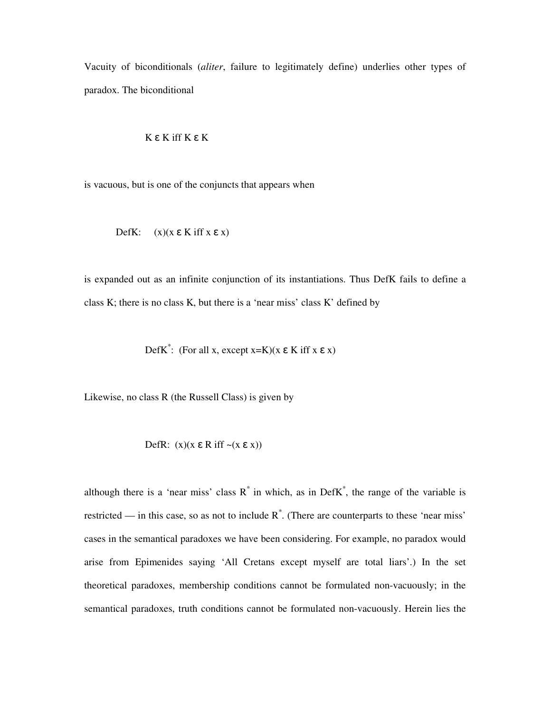Vacuity of biconditionals (*aliter*, failure to legitimately define) underlies other types of paradox. The biconditional

$$
K\ \epsilon\ K\ \mathrm{iff}\ K\ \epsilon\ K
$$

is vacuous, but is one of the conjuncts that appears when

DefK:  $(x)(x \in K \text{ iff } x \in x)$ 

is expanded out as an infinite conjunction of its instantiations. Thus DefK fails to define a class K; there is no class K, but there is a 'near miss' class K' defined by

DefK<sup>\*</sup>: (For all x, except x=K)(x  $\epsilon$  K iff x  $\epsilon$  x)

Likewise, no class R (the Russell Class) is given by

$$
DefR: (x)(x \in R \text{ iff } \neg(x \in x))
$$

although there is a 'near miss' class  $R^*$  in which, as in Def $K^*$ , the range of the variable is restricted — in this case, so as not to include  $R^*$ . (There are counterparts to these 'near miss' cases in the semantical paradoxes we have been considering. For example, no paradox would arise from Epimenides saying 'All Cretans except myself are total liars'.) In the set theoretical paradoxes, membership conditions cannot be formulated non-vacuously; in the semantical paradoxes, truth conditions cannot be formulated non-vacuously. Herein lies the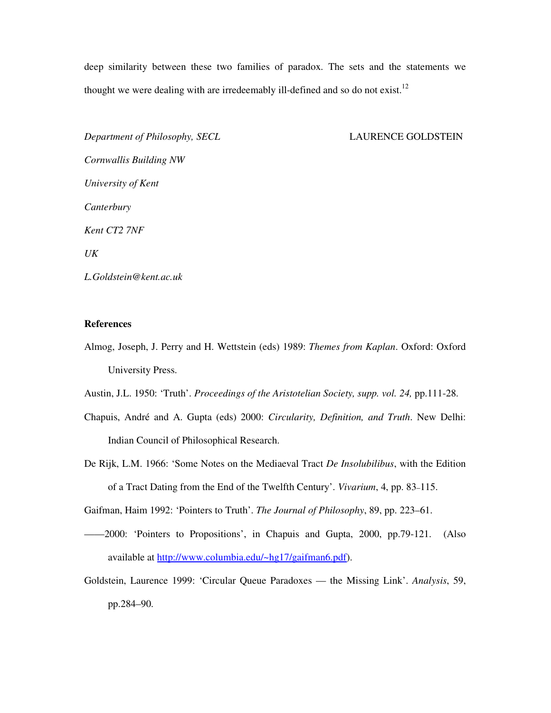deep similarity between these two families of paradox. The sets and the statements we thought we were dealing with are irredeemably ill-defined and so do not exist.<sup>12</sup>

*Department of Philosophy, SECL* LAURENCE GOLDSTEIN *Cornwallis Building NW University of Kent Canterbury Kent CT2 7NF UK L.Goldstein@kent.ac.uk* 

#### **References**

Almog, Joseph, J. Perry and H. Wettstein (eds) 1989: *Themes from Kaplan*. Oxford: Oxford University Press.

Austin, J.L. 1950: 'Truth'. *Proceedings of the Aristotelian Society, supp. vol. 24, pp.111-28.* 

- Chapuis, André and A. Gupta (eds) 2000: *Circularity, Definition, and Truth*. New Delhi: Indian Council of Philosophical Research.
- De Rijk, L.M. 1966: 'Some Notes on the Mediaeval Tract *De Insolubilibus*, with the Edition of a Tract Dating from the End of the Twelfth Century'. *Vivarium*, 4, pp. 83–115.

Gaifman, Haim 1992: 'Pointers to Truth'. *The Journal of Philosophy*, 89, pp. 223–61.

- ——2000: 'Pointers to Propositions', in Chapuis and Gupta, 2000, pp.79-121. (Also available at http://www.columbia.edu/~hg17/gaifman6.pdf).
- Goldstein, Laurence 1999: 'Circular Queue Paradoxes the Missing Link'. *Analysis*, 59, pp.284–90.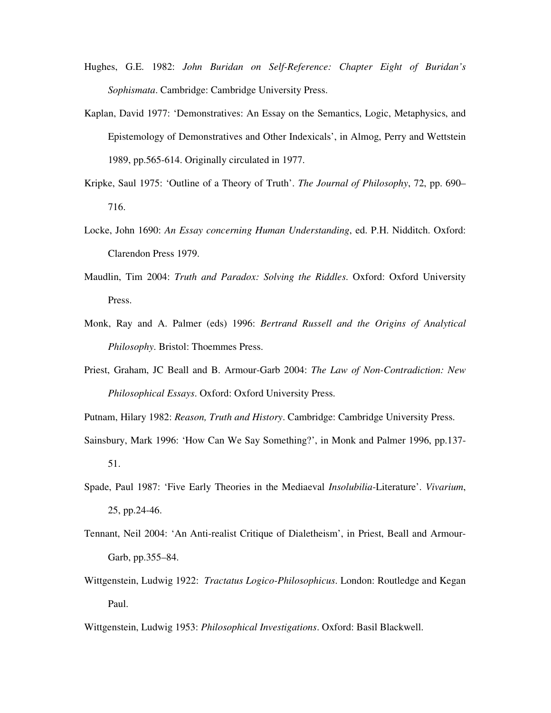- Hughes, G.E. 1982: *John Buridan on Self-Reference: Chapter Eight of Buridan's Sophismata*. Cambridge: Cambridge University Press.
- Kaplan, David 1977: 'Demonstratives: An Essay on the Semantics, Logic, Metaphysics, and Epistemology of Demonstratives and Other Indexicals', in Almog, Perry and Wettstein 1989, pp.565-614. Originally circulated in 1977.
- Kripke, Saul 1975: 'Outline of a Theory of Truth'. *The Journal of Philosophy*, 72, pp. 690– 716.
- Locke, John 1690: *An Essay concerning Human Understanding*, ed. P.H. Nidditch. Oxford: Clarendon Press 1979.
- Maudlin, Tim 2004: *Truth and Paradox: Solving the Riddles*. Oxford: Oxford University Press.
- Monk, Ray and A. Palmer (eds) 1996: *Bertrand Russell and the Origins of Analytical Philosophy*. Bristol: Thoemmes Press.
- Priest, Graham, JC Beall and B. Armour-Garb 2004: *The Law of Non-Contradiction: New Philosophical Essays*. Oxford: Oxford University Press.

Putnam, Hilary 1982: *Reason, Truth and History*. Cambridge: Cambridge University Press.

- Sainsbury, Mark 1996: 'How Can We Say Something?', in Monk and Palmer 1996, pp.137- 51.
- Spade, Paul 1987: 'Five Early Theories in the Mediaeval *Insolubilia*-Literature'. *Vivarium*, 25, pp.24-46.
- Tennant, Neil 2004: 'An Anti-realist Critique of Dialetheism', in Priest, Beall and Armour-Garb, pp.355–84.
- Wittgenstein, Ludwig 1922: *Tractatus Logico-Philosophicus*. London: Routledge and Kegan Paul.

Wittgenstein, Ludwig 1953: *Philosophical Investigations*. Oxford: Basil Blackwell.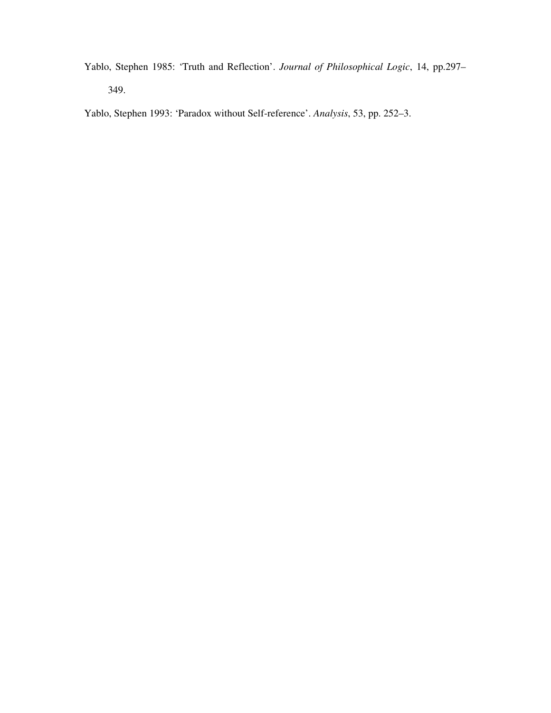Yablo, Stephen 1985: 'Truth and Reflection'. *Journal of Philosophical Logic*, 14, pp.297– 349.

Yablo, Stephen 1993: 'Paradox without Self-reference'. *Analysis*, 53, pp. 252–3.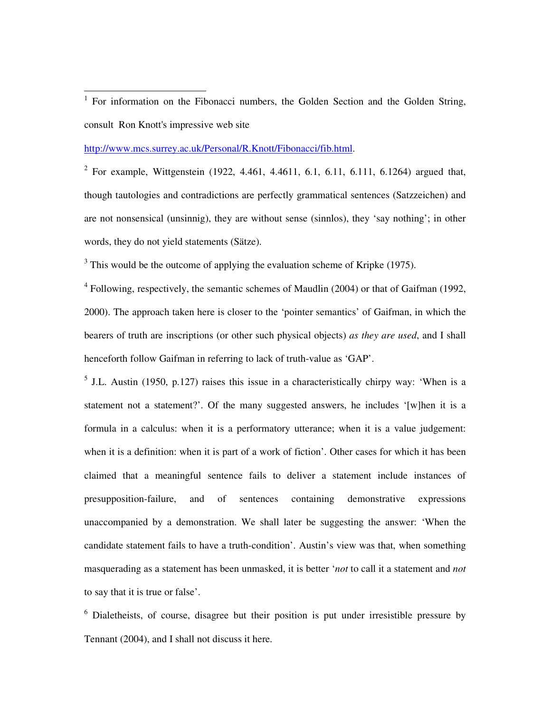<sup>1</sup> For information on the Fibonacci numbers, the Golden Section and the Golden String, consult Ron Knott's impressive web site

http://www.mcs.surrey.ac.uk/Personal/R.Knott/Fibonacci/fib.html.

<sup>2</sup> For example, Wittgenstein (1922, 4.461, 4.4611, 6.1, 6.11, 6.111, 6.1264) argued that, though tautologies and contradictions are perfectly grammatical sentences (Satzzeichen) and are not nonsensical (unsinnig), they are without sense (sinnlos), they 'say nothing'; in other words, they do not yield statements (Sätze).

 $3$  This would be the outcome of applying the evaluation scheme of Kripke (1975).

<sup>4</sup> Following, respectively, the semantic schemes of Maudlin (2004) or that of Gaifman (1992, 2000). The approach taken here is closer to the 'pointer semantics' of Gaifman, in which the bearers of truth are inscriptions (or other such physical objects) *as they are used*, and I shall henceforth follow Gaifman in referring to lack of truth-value as 'GAP'.

 $<sup>5</sup>$  J.L. Austin (1950, p.127) raises this issue in a characteristically chirpy way: 'When is a</sup> statement not a statement?'. Of the many suggested answers, he includes '[w]hen it is a formula in a calculus: when it is a performatory utterance; when it is a value judgement: when it is a definition: when it is part of a work of fiction'. Other cases for which it has been claimed that a meaningful sentence fails to deliver a statement include instances of presupposition-failure, and of sentences containing demonstrative expressions unaccompanied by a demonstration. We shall later be suggesting the answer: 'When the candidate statement fails to have a truth-condition'. Austin's view was that, when something masquerading as a statement has been unmasked, it is better '*not* to call it a statement and *not*  to say that it is true or false'.

<sup>6</sup> Dialetheists, of course, disagree but their position is put under irresistible pressure by Tennant (2004), and I shall not discuss it here.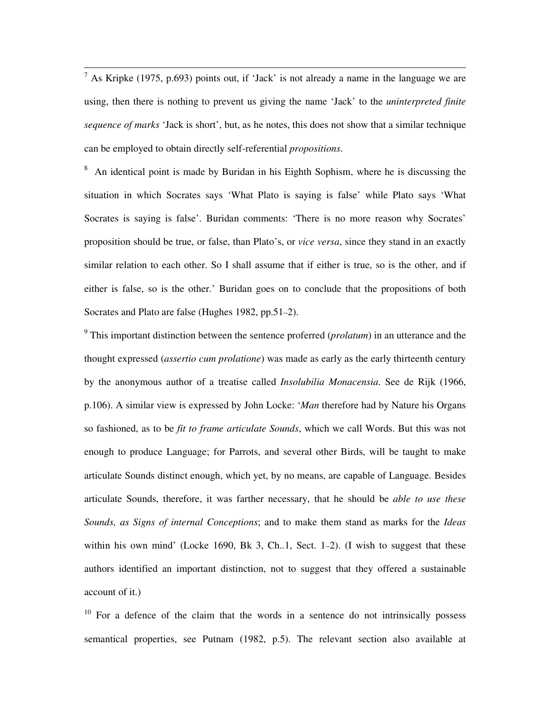<sup>7</sup> As Kripke (1975, p.693) points out, if 'Jack' is not already a name in the language we are using, then there is nothing to prevent us giving the name 'Jack' to the *uninterpreted finite sequence of marks* 'Jack is short', but, as he notes, this does not show that a similar technique can be employed to obtain directly self-referential *propositions*.

 $\ddot{ }$ 

<sup>8</sup> An identical point is made by Buridan in his Eighth Sophism, where he is discussing the situation in which Socrates says 'What Plato is saying is false' while Plato says 'What Socrates is saying is false'. Buridan comments: 'There is no more reason why Socrates' proposition should be true, or false, than Plato's, or *vice versa*, since they stand in an exactly similar relation to each other. So I shall assume that if either is true, so is the other, and if either is false, so is the other.' Buridan goes on to conclude that the propositions of both Socrates and Plato are false (Hughes 1982, pp.51–2).

9 This important distinction between the sentence proferred (*prolatum*) in an utterance and the thought expressed (*assertio cum prolatione*) was made as early as the early thirteenth century by the anonymous author of a treatise called *Insolubilia Monacensia*. See de Rijk (1966, p.106). A similar view is expressed by John Locke: '*Man* therefore had by Nature his Organs so fashioned, as to be *fit to frame articulate Sounds*, which we call Words. But this was not enough to produce Language; for Parrots, and several other Birds, will be taught to make articulate Sounds distinct enough, which yet, by no means, are capable of Language. Besides articulate Sounds, therefore, it was farther necessary, that he should be *able to use these Sounds, as Signs of internal Conceptions*; and to make them stand as marks for the *Ideas* within his own mind' (Locke 1690, Bk 3, Ch. 1, Sect. 1–2). (I wish to suggest that these authors identified an important distinction, not to suggest that they offered a sustainable account of it.)

 $10$  For a defence of the claim that the words in a sentence do not intrinsically possess semantical properties, see Putnam (1982, p.5). The relevant section also available at